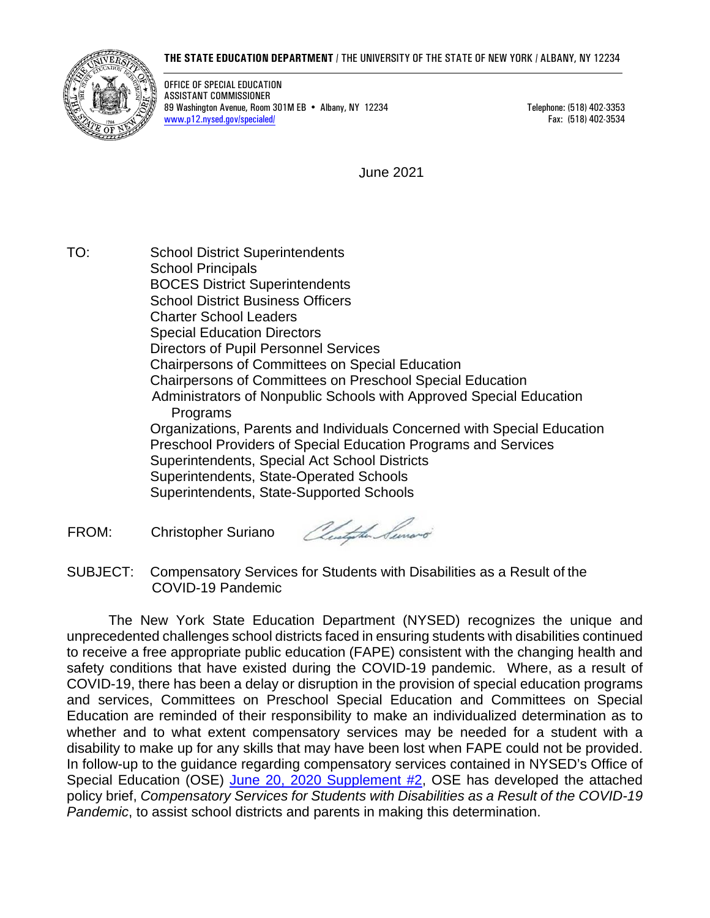## **THE STATE EDUCATION DEPARTMENT** / THE UNIVERSITY OF THE STATE OF NEW YORK / ALBANY, NY 12234



OFFICE OF SPECIAL EDUCATION ASSISTANT COMMISSIONER 89 Washington Avenue, Room 301M EB • Albany, NY 12234 Telephone: (518) 402-3353 [www.p12.nysed.gov/specialed/](http://www.p12.nysed.gov/specialed/) Fax: (518) 402-3534

June 2021

TO: School District Superintendents School Principals BOCES District Superintendents School District Business Officers Charter School Leaders Special Education Directors Directors of Pupil Personnel Services Chairpersons of Committees on Special Education Chairpersons of Committees on Preschool Special Education Administrators of Nonpublic Schools with Approved Special Education Programs Organizations, Parents and Individuals Concerned with Special Education Preschool Providers of Special Education Programs and Services Superintendents, Special Act School Districts Superintendents, State-Operated Schools Superintendents, State-Supported Schools

FROM: Christopher Suriano

Australia Surrono

SUBJECT: Compensatory Services for Students with Disabilities as a Result of the COVID-19 Pandemic

The New York State Education Department (NYSED) recognizes the unique and unprecedented challenges school districts faced in ensuring students with disabilities continued to receive a free appropriate public education (FAPE) consistent with the changing health and safety conditions that have existed during the COVID-19 pandemic. Where, as a result of COVID-19, there has been a delay or disruption in the provision of special education programs and services, Committees on Preschool Special Education and Committees on Special Education are reminded of their responsibility to make an individualized determination as to whether and to what extent compensatory services may be needed for a student with a disability to make up for any skills that may have been lost when FAPE could not be provided. In follow-up to the guidance regarding compensatory services contained in NYSED's Office of Special Education (OSE) [June 20, 2020 Supplement #2,](http://www.p12.nysed.gov/specialed/publications/2020-memos/special-education-supplement-2-covid-qa-memo-6-20-2020.pdf) OSE has developed the attached policy brief, *Compensatory Services for Students with Disabilities as a Result of the COVID-19 Pandemic*, to assist school districts and parents in making this determination.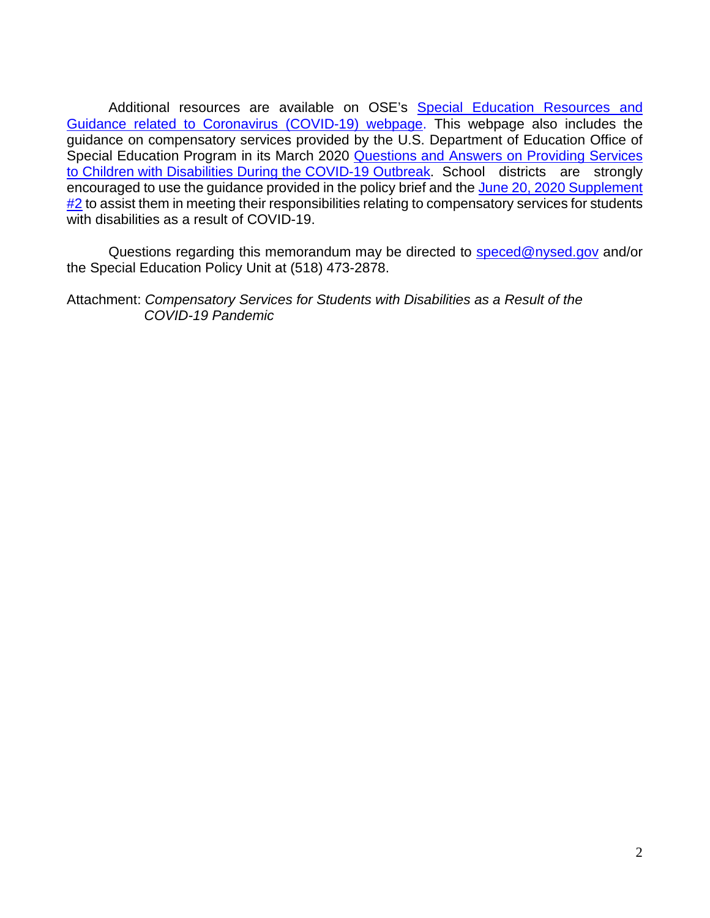Additional resources are available on OSE's Special Education Resources and [Guidance related to Coronavirus \(COVID-19\) webpage.](http://www.p12.nysed.gov/specialed/publications/2020-memos/provision-of-services-during-covid-19-pandemic.htm) This webpage also includes the guidance on compensatory services provided by the U.S. Department of Education Office of Special Education Program in its March 2020 Questions and Answers on Providing Services [to Children with Disabilities](https://www2.ed.gov/policy/speced/guid/idea/memosdcltrs/qa-covid-19-03-12-2020.pdf) During [the COVID-19 Outbreak.](https://www2.ed.gov/policy/speced/guid/idea/memosdcltrs/qa-covid-19-03-12-2020.pdf) School districts are strongly encouraged to use the guidance provided in the policy brief and the [June 20, 2020 Supplement](http://www.p12.nysed.gov/specialed/publications/2020-memos/special-education-supplement-2-covid-qa-memo-6-20-2020.pdf)   $#2$  to assist them in meeting their responsibilities relating to compensatory services for students with disabilities as a result of COVID-19.

Questions regarding this memorandum may be directed to [speced@nysed.gov](mailto:speced@nysed.gov) and/or the Special Education Policy Unit at (518) 473-2878.

Attachment: *Compensatory Services for Students with Disabilities as a Result of the COVID-19 Pandemic*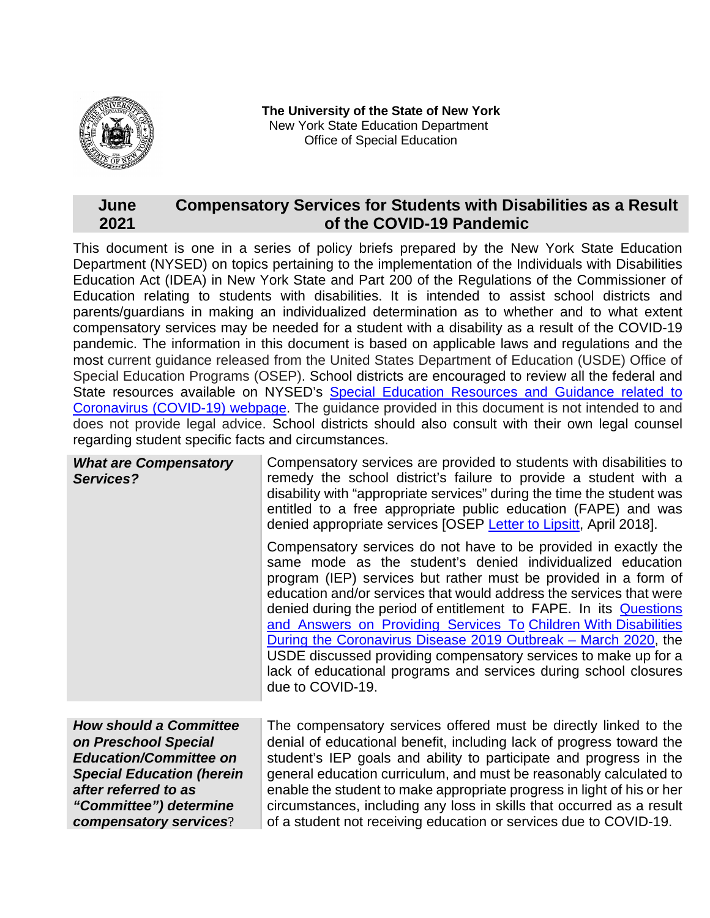

**The University of the State of New York** New York State Education Department Office of Special Education

## **June 2021 Compensatory Services for Students with Disabilities as a Result of the COVID-19 Pandemic**

This document is one in a series of policy briefs prepared by the New York State Education Department (NYSED) on topics pertaining to the implementation of the Individuals with Disabilities Education Act (IDEA) in New York State and Part 200 of the Regulations of the Commissioner of Education relating to students with disabilities. It is intended to assist school districts and parents/guardians in making an individualized determination as to whether and to what extent compensatory services may be needed for a student with a disability as a result of the COVID-19 pandemic. The information in this document is based on applicable laws and regulations and the most current guidance released from the United States Department of Education (USDE) Office of Special Education Programs (OSEP). School districts are encouraged to review all the federal and State resources available on NYSED's Special Education Resources and Guidance related to [Coronavirus \(COVID-19\) webpage.](http://www.p12.nysed.gov/specialed/publications/2020-memos/provision-of-services-during-covid-19-pandemic.htm) The guidance provided in this document is not intended to and does not provide legal advice. School districts should also consult with their own legal counsel regarding student specific facts and circumstances.

| <b>What are Compensatory</b><br>Services? | Compensatory services are provided to students with disabilities to<br>remedy the school district's failure to provide a student with a<br>disability with "appropriate services" during the time the student was<br>entitled to a free appropriate public education (FAPE) and was<br>denied appropriate services [OSEP Letter to Lipsitt, April 2018].                                                                                                                                                                                                                                                                                     |
|-------------------------------------------|----------------------------------------------------------------------------------------------------------------------------------------------------------------------------------------------------------------------------------------------------------------------------------------------------------------------------------------------------------------------------------------------------------------------------------------------------------------------------------------------------------------------------------------------------------------------------------------------------------------------------------------------|
|                                           | Compensatory services do not have to be provided in exactly the<br>same mode as the student's denied individualized education<br>program (IEP) services but rather must be provided in a form of<br>education and/or services that would address the services that were<br>denied during the period of entitlement to FAPE. In its Questions<br>and Answers on Providing Services To Children With Disabilities<br>During the Coronavirus Disease 2019 Outbreak – March 2020, the<br>USDE discussed providing compensatory services to make up for a<br>lack of educational programs and services during school closures<br>due to COVID-19. |
| <b>How should a Committee</b>             | The compensatory services offered must be directly linked to the                                                                                                                                                                                                                                                                                                                                                                                                                                                                                                                                                                             |
| on Preschool Special                      | denial of educational benefit, including lack of progress toward the                                                                                                                                                                                                                                                                                                                                                                                                                                                                                                                                                                         |

*on Preschool Special Education/Committee on Special Education (herein after referred to as "Committee") determine compensatory services*?

student's IEP goals and ability to participate and progress in the general education curriculum, and must be reasonably calculated to enable the student to make appropriate progress in light of his or her circumstances, including any loss in skills that occurred as a result of a student not receiving education or services due to COVID-19.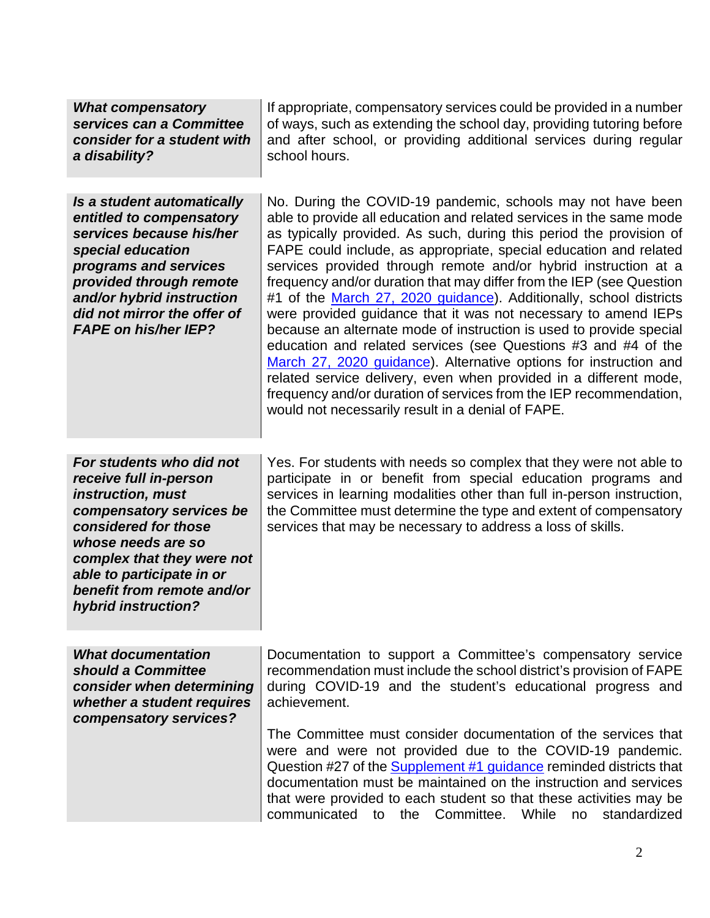| <b>What compensatory</b><br>services can a Committee<br>consider for a student with<br>a disability?                                                                                                                                                              | If appropriate, compensatory services could be provided in a number<br>of ways, such as extending the school day, providing tutoring before<br>and after school, or providing additional services during regular<br>school hours.                                                                                                                                                                                                                                                                                                                                                                                                                                                                                                                                                                                                                                                                                                                                               |
|-------------------------------------------------------------------------------------------------------------------------------------------------------------------------------------------------------------------------------------------------------------------|---------------------------------------------------------------------------------------------------------------------------------------------------------------------------------------------------------------------------------------------------------------------------------------------------------------------------------------------------------------------------------------------------------------------------------------------------------------------------------------------------------------------------------------------------------------------------------------------------------------------------------------------------------------------------------------------------------------------------------------------------------------------------------------------------------------------------------------------------------------------------------------------------------------------------------------------------------------------------------|
| Is a student automatically<br>entitled to compensatory<br>services because his/her<br>special education<br>programs and services<br>provided through remote<br>and/or hybrid instruction<br>did not mirror the offer of<br><b>FAPE on his/her IEP?</b>            | No. During the COVID-19 pandemic, schools may not have been<br>able to provide all education and related services in the same mode<br>as typically provided. As such, during this period the provision of<br>FAPE could include, as appropriate, special education and related<br>services provided through remote and/or hybrid instruction at a<br>frequency and/or duration that may differ from the IEP (see Question<br>#1 of the March 27, 2020 guidance). Additionally, school districts<br>were provided guidance that it was not necessary to amend IEPs<br>because an alternate mode of instruction is used to provide special<br>education and related services (see Questions #3 and #4 of the<br>March 27, 2020 guidance). Alternative options for instruction and<br>related service delivery, even when provided in a different mode,<br>frequency and/or duration of services from the IEP recommendation,<br>would not necessarily result in a denial of FAPE. |
| For students who did not<br>receive full in-person<br>instruction, must<br>compensatory services be<br>considered for those<br>whose needs are so<br>complex that they were not<br>able to participate in or<br>benefit from remote and/or<br>hybrid instruction? | Yes. For students with needs so complex that they were not able to<br>participate in or benefit from special education programs and<br>services in learning modalities other than full in-person instruction,<br>the Committee must determine the type and extent of compensatory<br>services that may be necessary to address a loss of skills.                                                                                                                                                                                                                                                                                                                                                                                                                                                                                                                                                                                                                                |
| <b>What documentation</b><br>should a Committee<br>consider when determining<br>whether a student requires<br>compensatory services?                                                                                                                              | Documentation to support a Committee's compensatory service<br>recommendation must include the school district's provision of FAPE<br>during COVID-19 and the student's educational progress and<br>achievement.<br>The Committee must consider documentation of the services that<br>were and were not provided due to the COVID-19 pandemic.<br>Question #27 of the Supplement #1 guidance reminded districts that<br>documentation must be maintained on the instruction and services<br>that were provided to each student so that these activities may be<br>communicated<br>Committee.<br>While<br>standardized<br>the<br>to<br>no                                                                                                                                                                                                                                                                                                                                        |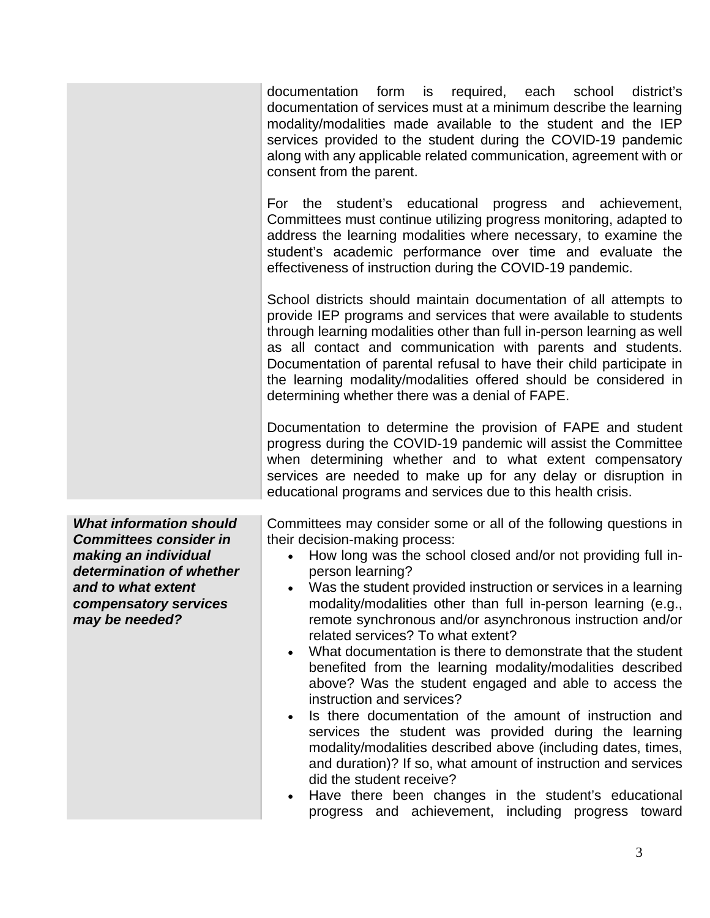|                                                                                                                                                                                      | documentation form is required, each school<br>district's<br>documentation of services must at a minimum describe the learning<br>modality/modalities made available to the student and the IEP<br>services provided to the student during the COVID-19 pandemic<br>along with any applicable related communication, agreement with or<br>consent from the parent.<br>For the student's educational<br>progress and achievement,<br>Committees must continue utilizing progress monitoring, adapted to<br>address the learning modalities where necessary, to examine the<br>student's academic performance over time and evaluate the<br>effectiveness of instruction during the COVID-19 pandemic.<br>School districts should maintain documentation of all attempts to<br>provide IEP programs and services that were available to students<br>through learning modalities other than full in-person learning as well<br>as all contact and communication with parents and students.<br>Documentation of parental refusal to have their child participate in<br>the learning modality/modalities offered should be considered in<br>determining whether there was a denial of FAPE.<br>Documentation to determine the provision of FAPE and student<br>progress during the COVID-19 pandemic will assist the Committee<br>when determining whether and to what extent compensatory<br>services are needed to make up for any delay or disruption in<br>educational programs and services due to this health crisis. |
|--------------------------------------------------------------------------------------------------------------------------------------------------------------------------------------|------------------------------------------------------------------------------------------------------------------------------------------------------------------------------------------------------------------------------------------------------------------------------------------------------------------------------------------------------------------------------------------------------------------------------------------------------------------------------------------------------------------------------------------------------------------------------------------------------------------------------------------------------------------------------------------------------------------------------------------------------------------------------------------------------------------------------------------------------------------------------------------------------------------------------------------------------------------------------------------------------------------------------------------------------------------------------------------------------------------------------------------------------------------------------------------------------------------------------------------------------------------------------------------------------------------------------------------------------------------------------------------------------------------------------------------------------------------------------------------------------------------------|
| <b>What information should</b><br><b>Committees consider in</b><br>making an individual<br>determination of whether<br>and to what extent<br>compensatory services<br>may be needed? | Committees may consider some or all of the following questions in<br>their decision-making process:<br>How long was the school closed and/or not providing full in-<br>person learning?<br>Was the student provided instruction or services in a learning<br>$\bullet$<br>modality/modalities other than full in-person learning (e.g.,<br>remote synchronous and/or asynchronous instruction and/or<br>related services? To what extent?<br>What documentation is there to demonstrate that the student<br>$\bullet$<br>benefited from the learning modality/modalities described<br>above? Was the student engaged and able to access the<br>instruction and services?<br>Is there documentation of the amount of instruction and<br>$\bullet$<br>services the student was provided during the learning<br>modality/modalities described above (including dates, times,<br>and duration)? If so, what amount of instruction and services<br>did the student receive?<br>Have there been changes in the student's educational<br>$\bullet$<br>progress and achievement, including progress toward                                                                                                                                                                                                                                                                                                                                                                                                                     |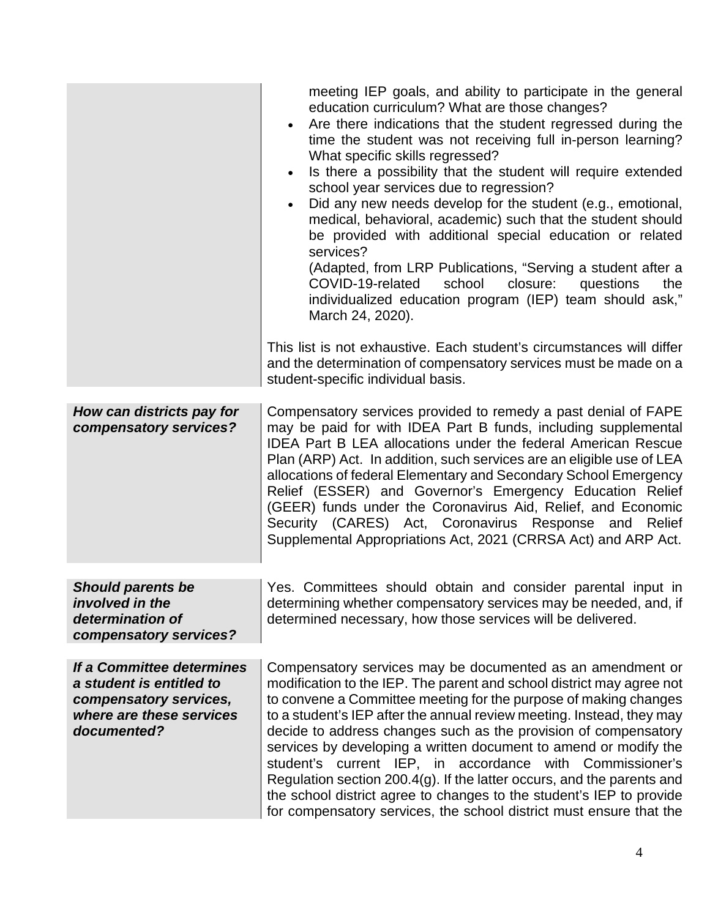|                                                                                                                            | meeting IEP goals, and ability to participate in the general<br>education curriculum? What are those changes?<br>Are there indications that the student regressed during the<br>time the student was not receiving full in-person learning?<br>What specific skills regressed?<br>Is there a possibility that the student will require extended<br>school year services due to regression?<br>Did any new needs develop for the student (e.g., emotional,<br>medical, behavioral, academic) such that the student should<br>be provided with additional special education or related<br>services?<br>(Adapted, from LRP Publications, "Serving a student after a<br>school<br>closure:<br>COVID-19-related<br>questions<br>the<br>individualized education program (IEP) team should ask,"<br>March 24, 2020).<br>This list is not exhaustive. Each student's circumstances will differ<br>and the determination of compensatory services must be made on a<br>student-specific individual basis. |
|----------------------------------------------------------------------------------------------------------------------------|---------------------------------------------------------------------------------------------------------------------------------------------------------------------------------------------------------------------------------------------------------------------------------------------------------------------------------------------------------------------------------------------------------------------------------------------------------------------------------------------------------------------------------------------------------------------------------------------------------------------------------------------------------------------------------------------------------------------------------------------------------------------------------------------------------------------------------------------------------------------------------------------------------------------------------------------------------------------------------------------------|
| How can districts pay for<br>compensatory services?                                                                        | Compensatory services provided to remedy a past denial of FAPE<br>may be paid for with IDEA Part B funds, including supplemental<br><b>IDEA Part B LEA allocations under the federal American Rescue</b><br>Plan (ARP) Act. In addition, such services are an eligible use of LEA<br>allocations of federal Elementary and Secondary School Emergency<br>Relief (ESSER) and Governor's Emergency Education Relief<br>(GEER) funds under the Coronavirus Aid, Relief, and Economic<br>Security (CARES) Act, Coronavirus Response and Relief<br>Supplemental Appropriations Act, 2021 (CRRSA Act) and ARP Act.                                                                                                                                                                                                                                                                                                                                                                                      |
| <b>Should parents be</b><br><i>involved in the</i><br>determination of<br>compensatory services?                           | Yes. Committees should obtain and consider parental input in<br>determining whether compensatory services may be needed, and, if<br>determined necessary, how those services will be delivered.                                                                                                                                                                                                                                                                                                                                                                                                                                                                                                                                                                                                                                                                                                                                                                                                   |
| If a Committee determines<br>a student is entitled to<br>compensatory services,<br>where are these services<br>documented? | Compensatory services may be documented as an amendment or<br>modification to the IEP. The parent and school district may agree not<br>to convene a Committee meeting for the purpose of making changes<br>to a student's IEP after the annual review meeting. Instead, they may<br>decide to address changes such as the provision of compensatory<br>services by developing a written document to amend or modify the<br>student's current IEP, in accordance with Commissioner's<br>Regulation section 200.4(g). If the latter occurs, and the parents and<br>the school district agree to changes to the student's IEP to provide<br>for compensatory services, the school district must ensure that the                                                                                                                                                                                                                                                                                      |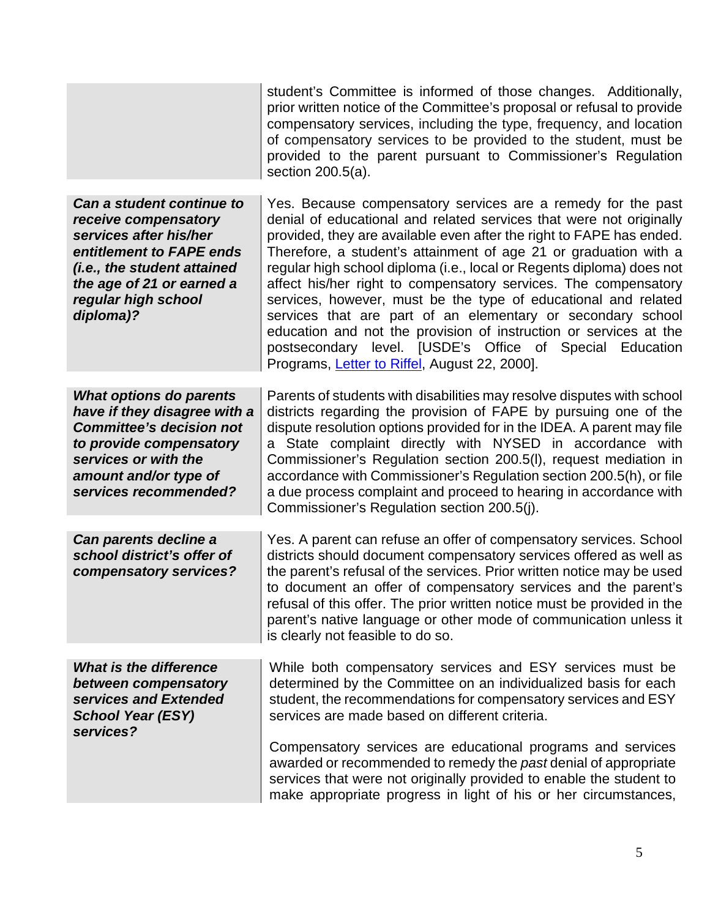|                                                                                                                                                                                                         | student's Committee is informed of those changes. Additionally,<br>prior written notice of the Committee's proposal or refusal to provide<br>compensatory services, including the type, frequency, and location<br>of compensatory services to be provided to the student, must be<br>provided to the parent pursuant to Commissioner's Regulation<br>section 200.5(a).                                                                                                                                                                                                                                                                                                                                                                        |
|---------------------------------------------------------------------------------------------------------------------------------------------------------------------------------------------------------|------------------------------------------------------------------------------------------------------------------------------------------------------------------------------------------------------------------------------------------------------------------------------------------------------------------------------------------------------------------------------------------------------------------------------------------------------------------------------------------------------------------------------------------------------------------------------------------------------------------------------------------------------------------------------------------------------------------------------------------------|
| Can a student continue to<br>receive compensatory<br>services after his/her<br>entitlement to FAPE ends<br>(i.e., the student attained<br>the age of 21 or earned a<br>regular high school<br>diploma)? | Yes. Because compensatory services are a remedy for the past<br>denial of educational and related services that were not originally<br>provided, they are available even after the right to FAPE has ended.<br>Therefore, a student's attainment of age 21 or graduation with a<br>regular high school diploma (i.e., local or Regents diploma) does not<br>affect his/her right to compensatory services. The compensatory<br>services, however, must be the type of educational and related<br>services that are part of an elementary or secondary school<br>education and not the provision of instruction or services at the<br>postsecondary level. [USDE's Office of Special Education<br>Programs, Letter to Riffel, August 22, 2000]. |
| <b>What options do parents</b><br>have if they disagree with a<br><b>Committee's decision not</b><br>to provide compensatory<br>services or with the<br>amount and/or type of<br>services recommended?  | Parents of students with disabilities may resolve disputes with school<br>districts regarding the provision of FAPE by pursuing one of the<br>dispute resolution options provided for in the IDEA. A parent may file<br>a State complaint directly with NYSED in accordance with<br>Commissioner's Regulation section 200.5(I), request mediation in<br>accordance with Commissioner's Regulation section 200.5(h), or file<br>a due process complaint and proceed to hearing in accordance with<br>Commissioner's Regulation section 200.5(j).                                                                                                                                                                                                |
| Can parents decline a<br>school district's offer of<br>compensatory services?                                                                                                                           | Yes. A parent can refuse an offer of compensatory services. School<br>districts should document compensatory services offered as well as<br>the parent's refusal of the services. Prior written notice may be used<br>to document an offer of compensatory services and the parent's<br>refusal of this offer. The prior written notice must be provided in the<br>parent's native language or other mode of communication unless it<br>is clearly not feasible to do so.                                                                                                                                                                                                                                                                      |
| <b>What is the difference</b><br>between compensatory<br>services and Extended<br><b>School Year (ESY)</b><br>services?                                                                                 | While both compensatory services and ESY services must be<br>determined by the Committee on an individualized basis for each<br>student, the recommendations for compensatory services and ESY<br>services are made based on different criteria.                                                                                                                                                                                                                                                                                                                                                                                                                                                                                               |
|                                                                                                                                                                                                         | Compensatory services are educational programs and services<br>awarded or recommended to remedy the past denial of appropriate<br>services that were not originally provided to enable the student to<br>make appropriate progress in light of his or her circumstances,                                                                                                                                                                                                                                                                                                                                                                                                                                                                       |